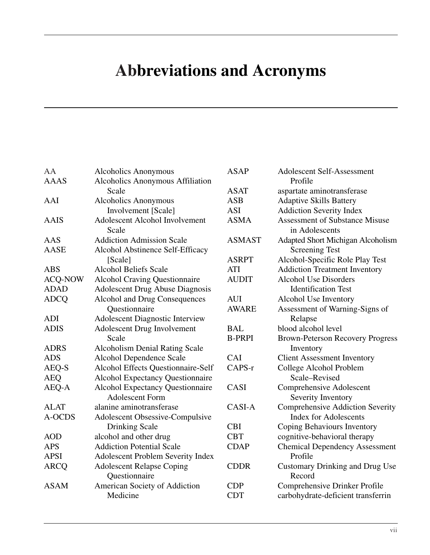## **Abbreviations and Acronyms**

| AA             | <b>Alcoholics Anonymous</b>              | <b>ASAP</b>   | <b>Adolescent Self-Assessment</b>       |
|----------------|------------------------------------------|---------------|-----------------------------------------|
| <b>AAAS</b>    | <b>Alcoholics Anonymous Affiliation</b>  |               | Profile                                 |
|                | Scale                                    | <b>ASAT</b>   | aspartate aminotransferase              |
| AAI            | <b>Alcoholics Anonymous</b>              | <b>ASB</b>    | <b>Adaptive Skills Battery</b>          |
|                | Involvement [Scale]                      | <b>ASI</b>    | <b>Addiction Severity Index</b>         |
| <b>AAIS</b>    | <b>Adolescent Alcohol Involvement</b>    | <b>ASMA</b>   | <b>Assessment of Substance Misuse</b>   |
|                | Scale                                    |               | in Adolescents                          |
| AAS            | <b>Addiction Admission Scale</b>         | <b>ASMAST</b> | Adapted Short Michigan Alcoholism       |
| <b>AASE</b>    | Alcohol Abstinence Self-Efficacy         |               | <b>Screening Test</b>                   |
|                | [Scale]                                  | <b>ASRPT</b>  | Alcohol-Specific Role Play Test         |
| <b>ABS</b>     | <b>Alcohol Beliefs Scale</b>             | <b>ATI</b>    | <b>Addiction Treatment Inventory</b>    |
| <b>ACQ-NOW</b> | <b>Alcohol Craving Questionnaire</b>     | <b>AUDIT</b>  | <b>Alcohol Use Disorders</b>            |
| <b>ADAD</b>    | <b>Adolescent Drug Abuse Diagnosis</b>   |               | <b>Identification Test</b>              |
| <b>ADCQ</b>    | Alcohol and Drug Consequences            | <b>AUI</b>    | Alcohol Use Inventory                   |
|                | Questionnaire                            | <b>AWARE</b>  | Assessment of Warning-Signs of          |
| <b>ADI</b>     | <b>Adolescent Diagnostic Interview</b>   |               | Relapse                                 |
| <b>ADIS</b>    | <b>Adolescent Drug Involvement</b>       | <b>BAL</b>    | blood alcohol level                     |
|                | Scale                                    | <b>B-PRPI</b> | <b>Brown-Peterson Recovery Progress</b> |
| <b>ADRS</b>    | <b>Alcoholism Denial Rating Scale</b>    |               | Inventory                               |
| <b>ADS</b>     | <b>Alcohol Dependence Scale</b>          | CAI           | <b>Client Assessment Inventory</b>      |
| AEQ-S          | Alcohol Effects Questionnaire-Self       | CAPS-r        | College Alcohol Problem                 |
| <b>AEQ</b>     | <b>Alcohol Expectancy Questionnaire</b>  |               | Scale-Revised                           |
| AEQ-A          | <b>Alcohol Expectancy Questionnaire</b>  | CASI          | Comprehensive Adolescent                |
|                | <b>Adolescent Form</b>                   |               | Severity Inventory                      |
| <b>ALAT</b>    | alanine aminotransferase                 | CASI-A        | <b>Comprehensive Addiction Severity</b> |
| A-OCDS         | Adolescent Obsessive-Compulsive          |               | <b>Index for Adolescents</b>            |
|                | <b>Drinking Scale</b>                    | <b>CBI</b>    | Coping Behaviours Inventory             |
| <b>AOD</b>     | alcohol and other drug                   | <b>CBT</b>    | cognitive-behavioral therapy            |
| <b>APS</b>     | <b>Addiction Potential Scale</b>         | <b>CDAP</b>   | <b>Chemical Dependency Assessment</b>   |
| <b>APSI</b>    | <b>Adolescent Problem Severity Index</b> |               | Profile                                 |
| <b>ARCQ</b>    | <b>Adolescent Relapse Coping</b>         | <b>CDDR</b>   | <b>Customary Drinking and Drug Use</b>  |
|                | Questionnaire                            |               | Record                                  |
| <b>ASAM</b>    | American Society of Addiction            | <b>CDP</b>    | Comprehensive Drinker Profile           |
|                | Medicine                                 | <b>CDT</b>    | carbohydrate-deficient transferrin      |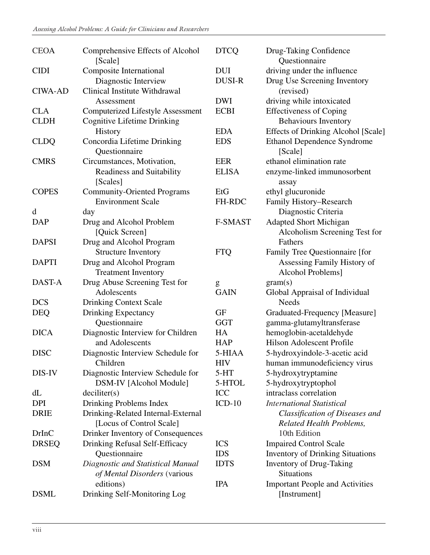| <b>CEOA</b>    | Comprehensive Effects of Alcohol<br>[Scale] | <b>DTCQ</b>   | Drug-Taking Confidence<br>Questionnaire    |
|----------------|---------------------------------------------|---------------|--------------------------------------------|
| <b>CIDI</b>    | <b>Composite International</b>              | <b>DUI</b>    | driving under the influence                |
|                | Diagnostic Interview                        | <b>DUSI-R</b> | Drug Use Screening Inventory               |
| <b>CIWA-AD</b> | Clinical Institute Withdrawal               |               | (revised)                                  |
|                | Assessment                                  | <b>DWI</b>    | driving while intoxicated                  |
| <b>CLA</b>     | <b>Computerized Lifestyle Assessment</b>    | <b>ECBI</b>   | <b>Effectiveness of Coping</b>             |
| <b>CLDH</b>    | <b>Cognitive Lifetime Drinking</b>          |               | <b>Behaviours Inventory</b>                |
|                | History                                     | <b>EDA</b>    | <b>Effects of Drinking Alcohol [Scale]</b> |
| <b>CLDQ</b>    | Concordia Lifetime Drinking                 | <b>EDS</b>    | <b>Ethanol Dependence Syndrome</b>         |
|                | Questionnaire                               |               | [Scale]                                    |
| <b>CMRS</b>    | Circumstances, Motivation,                  | <b>EER</b>    | ethanol elimination rate                   |
|                | Readiness and Suitability                   | <b>ELISA</b>  | enzyme-linked immunosorbent                |
|                | [Scales]                                    |               | assay                                      |
| <b>COPES</b>   | <b>Community-Oriented Programs</b>          | EtG           | ethyl glucuronide                          |
|                | <b>Environment Scale</b>                    | FH-RDC        | Family History-Research                    |
| d              | day                                         |               | Diagnostic Criteria                        |
| <b>DAP</b>     | Drug and Alcohol Problem                    | F-SMAST       | <b>Adapted Short Michigan</b>              |
|                | [Quick Screen]                              |               | Alcoholism Screening Test for              |
| <b>DAPSI</b>   | Drug and Alcohol Program                    |               | Fathers                                    |
|                | <b>Structure Inventory</b>                  | <b>FTQ</b>    | Family Tree Questionnaire [for             |
| <b>DAPTI</b>   | Drug and Alcohol Program                    |               | Assessing Family History of                |
|                | <b>Treatment Inventory</b>                  |               | Alcohol Problems]                          |
| DAST-A         | Drug Abuse Screening Test for               | g             | gram(s)                                    |
|                | Adolescents                                 | <b>GAIN</b>   | Global Appraisal of Individual             |
| <b>DCS</b>     | <b>Drinking Context Scale</b>               |               | <b>Needs</b>                               |
| <b>DEQ</b>     | <b>Drinking Expectancy</b>                  | <b>GF</b>     | Graduated-Frequency [Measure]              |
|                | Questionnaire                               | <b>GGT</b>    | gamma-glutamyltransferase                  |
| <b>DICA</b>    | Diagnostic Interview for Children           | HA            | hemoglobin-acetaldehyde                    |
|                | and Adolescents                             | <b>HAP</b>    | Hilson Adolescent Profile                  |
| <b>DISC</b>    | Diagnostic Interview Schedule for           | 5-HIAA        | 5-hydroxyindole-3-acetic acid              |
|                | Children                                    | <b>HIV</b>    | human immunodeficiency virus               |
| DIS-IV         | Diagnostic Interview Schedule for           | $5-HT$        | 5-hydroxytryptamine                        |
|                | DSM-IV [Alcohol Module]                     | 5-HTOL        | 5-hydroxytryptophol                        |
| dL             | deciliter(s)                                | ICC           | intraclass correlation                     |
| DPI            | Drinking Problems Index                     | $ICD-10$      | <b>International Statistical</b>           |
| <b>DRIE</b>    | Drinking-Related Internal-External          |               | Classification of Diseases and             |
|                | [Locus of Control Scale]                    |               | <b>Related Health Problems,</b>            |
| <b>DrInC</b>   | Drinker Inventory of Consequences           |               | 10th Edition                               |
| <b>DRSEQ</b>   | <b>Drinking Refusal Self-Efficacy</b>       | <b>ICS</b>    | <b>Impaired Control Scale</b>              |
|                | Questionnaire                               | <b>IDS</b>    | <b>Inventory of Drinking Situations</b>    |
| <b>DSM</b>     | Diagnostic and Statistical Manual           | <b>IDTS</b>   | <b>Inventory of Drug-Taking</b>            |
|                | of Mental Disorders (various                |               | Situations                                 |
|                | editions)                                   | <b>IPA</b>    | <b>Important People and Activities</b>     |
| <b>DSML</b>    | Drinking Self-Monitoring Log                |               | [Instrument]                               |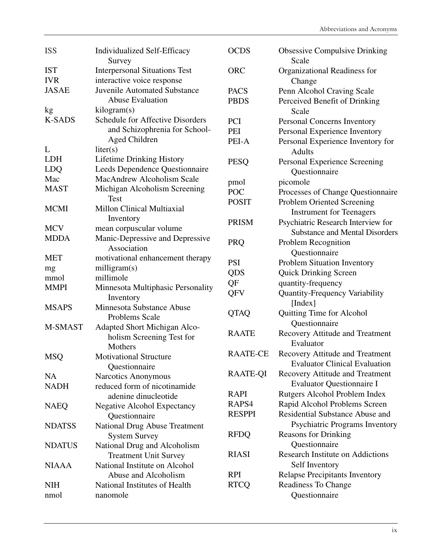| <b>ISS</b>    | <b>Individualized Self-Efficacy</b><br>Survey  | <b>OCDS</b>     | <b>Obsessive Compulsive Drinking</b><br>Scale |
|---------------|------------------------------------------------|-----------------|-----------------------------------------------|
| <b>IST</b>    | <b>Interpersonal Situations Test</b>           | <b>ORC</b>      | Organizational Readiness for                  |
| <b>IVR</b>    | interactive voice response                     |                 | Change                                        |
| <b>JASAE</b>  | <b>Juvenile Automated Substance</b>            | <b>PACS</b>     | Penn Alcohol Craving Scale                    |
|               | <b>Abuse Evaluation</b>                        | <b>PBDS</b>     | Perceived Benefit of Drinking                 |
| kg            | kilogram(s)                                    |                 | Scale                                         |
| <b>K-SADS</b> | <b>Schedule for Affective Disorders</b>        | PCI             | Personal Concerns Inventory                   |
|               | and Schizophrenia for School-                  | PEI             | Personal Experience Inventory                 |
|               | Aged Children                                  | PEI-A           | Personal Experience Inventory for             |
| L             | liter(s)                                       |                 | <b>Adults</b>                                 |
| <b>LDH</b>    | <b>Lifetime Drinking History</b>               | <b>PESQ</b>     | Personal Experience Screening                 |
| <b>LDQ</b>    | Leeds Dependence Questionnaire                 |                 | Questionnaire                                 |
| Mac           | <b>MacAndrew Alcoholism Scale</b>              | pmol            | picomole                                      |
| <b>MAST</b>   | Michigan Alcoholism Screening                  | <b>POC</b>      | Processes of Change Questionnaire             |
|               | <b>Test</b>                                    | <b>POSIT</b>    | <b>Problem Oriented Screening</b>             |
| <b>MCMI</b>   | Millon Clinical Multiaxial                     |                 | <b>Instrument for Teenagers</b>               |
|               | Inventory                                      | <b>PRISM</b>    | Psychiatric Research Interview for            |
| <b>MCV</b>    | mean corpuscular volume                        |                 | <b>Substance and Mental Disorders</b>         |
| <b>MDDA</b>   | Manic-Depressive and Depressive                | <b>PRQ</b>      | Problem Recognition                           |
|               | Association                                    |                 | Questionnaire                                 |
| <b>MET</b>    | motivational enhancement therapy               | <b>PSI</b>      | Problem Situation Inventory                   |
| mg            | milligram(s)                                   | QDS             | <b>Quick Drinking Screen</b>                  |
| mmol          | millimole                                      | QF              | quantity-frequency                            |
| <b>MMPI</b>   | Minnesota Multiphasic Personality              | QFV             | Quantity-Frequency Variability                |
|               | Inventory                                      |                 | [Index]                                       |
| <b>MSAPS</b>  | Minnesota Substance Abuse                      | <b>QTAQ</b>     | Quitting Time for Alcohol                     |
| M-SMAST       | Problems Scale<br>Adapted Short Michigan Alco- |                 | Questionnaire                                 |
|               | holism Screening Test for                      | <b>RAATE</b>    | Recovery Attitude and Treatment               |
|               | Mothers                                        |                 | Evaluator                                     |
| <b>MSQ</b>    | <b>Motivational Structure</b>                  | <b>RAATE-CE</b> | <b>Recovery Attitude and Treatment</b>        |
|               | Questionnaire                                  |                 | <b>Evaluator Clinical Evaluation</b>          |
| <b>NA</b>     | Narcotics Anonymous                            | <b>RAATE-QI</b> | <b>Recovery Attitude and Treatment</b>        |
| <b>NADH</b>   | reduced form of nicotinamide                   |                 | <b>Evaluator Questionnaire I</b>              |
|               | adenine dinucleotide                           | <b>RAPI</b>     | Rutgers Alcohol Problem Index                 |
| <b>NAEQ</b>   | <b>Negative Alcohol Expectancy</b>             | RAPS4           | Rapid Alcohol Problems Screen                 |
|               | Questionnaire                                  | <b>RESPPI</b>   | Residential Substance Abuse and               |
| <b>NDATSS</b> | <b>National Drug Abuse Treatment</b>           |                 | Psychiatric Programs Inventory                |
|               | <b>System Survey</b>                           | <b>RFDQ</b>     | <b>Reasons for Drinking</b>                   |
| <b>NDATUS</b> | National Drug and Alcoholism                   |                 | Questionnaire                                 |
|               | <b>Treatment Unit Survey</b>                   | <b>RIASI</b>    | <b>Research Institute on Addictions</b>       |
| <b>NIAAA</b>  | National Institute on Alcohol                  |                 | Self Inventory                                |
|               | Abuse and Alcoholism                           | <b>RPI</b>      | <b>Relapse Precipitants Inventory</b>         |
| <b>NIH</b>    | National Institutes of Health                  | <b>RTCQ</b>     | Readiness To Change                           |
| nmol          | nanomole                                       |                 | Questionnaire                                 |
|               |                                                |                 |                                               |